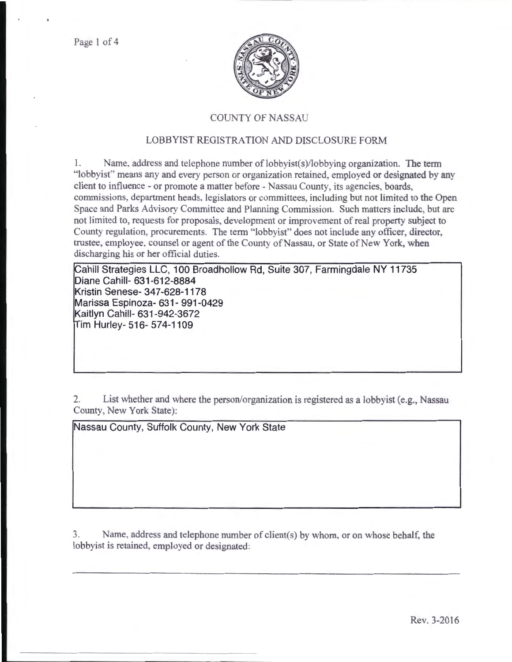Page 1 of 4



## COUNTY OF NASSAU

## LOBBYIST REGISTRATION AND DISCLOSURE FORM

1. Name, address and telephone number of lobbyist(s)/lobbying organization. The term "lobbyist" means any and every person or organization retained, employed or designated by any client to influence - or promote a matter before - Nassau County, its agencies, boards, commissions, department heads, legislators or committees, including but not limited to the Open Space and Parks Advisory Committee and Planning Commission. Such matters include, but arc not limited to, requests for proposals, development or improvement of real property subject to County regulation, procurements. The term "lobbyist" does not include any officer, director, trustee, employee, counsel or agent of the County of Nassau, or State of New York, when discharging his or her official duties.

Cahill Strategies LLC, 100 Broadhollow Rd, Suite 307, Farmingdale NY 11735 **Diane Cahill- 631-612-8884 Kristin Senese- 347-628-1178 Marissa Espinoza- 631- 991-0429 Kaitlyn Cahill- 631-942-3672 im Hurley- 516- 574-1109** 

2. List whether and where the person/organization is registered as a lobbyist (e.g., Nassau County, New York State):

**Nassau County, Suffolk County, New York State** 

3. Name, address and telephone number of client(s) by whom, or on whose behalf, the lobbyist is retained, employed or designated: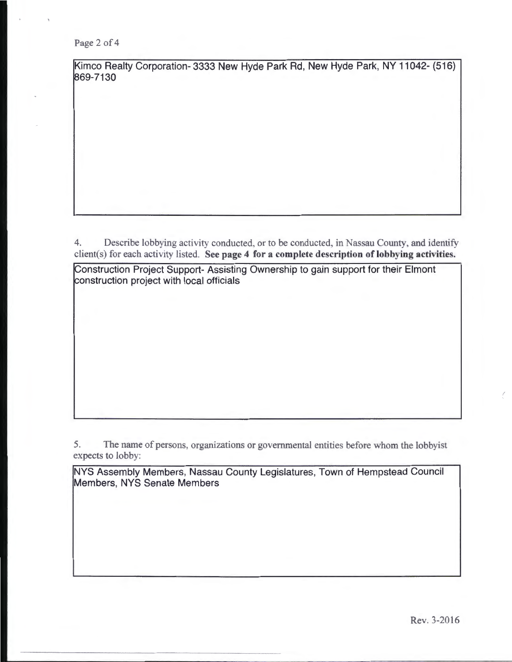Page 2 of 4

Kimco Realty Corporation- 3333 New Hyde Park Rd, New Hyde Park, NY 11042- (516) 869-7130

4. Describe lobbying activity conducted, or to be conducted, in Nassau County, and identify client(s) for each activity listed. See page 4 for a complete description of lobbying activities.

Construction Project Support- Assisting Ownership to gain support for their Elmont construction project with local officials

5. The name of persons, organizations or governmental entities before whom the lobbyist expects to lobby:

NYS Assembly Members, Nassau County Legislatures, Town of Hempstead Council Members, NYS Senate Members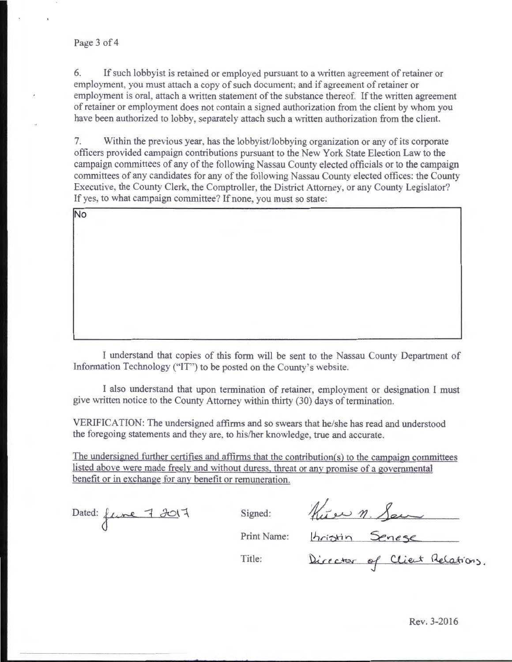6. If such lobbyist is retained or employed pursuant to a written agreement of retainer or employment. you must attach a copy of such document; and if agreement of retainer or employment is oral, attach a written statement of the substance thereof. If the written agreement of retainer or employment does not contain a signed authorization from the client by whom you have been authorized to lobby, separately attach such a written authorization from the client.

7. Within the previous year, has the lobbyist/lobbying organization or any of its corporate officers provided campaign contributions pursuant to the New York State Election Law to the campaign committees of any of the following Nassau County elected officials or to the campaign committees of any candidates for any of the following Nassau County elected offices: the County Executive, the County Clerk, the Comptroller, the District Attorney, or any County Legislator? If yes, to what campaign committee? If none, you must so state:

I understand that copies of this form will be sent to the Nassau County Department of Information Technology ("IT") to be posted on the County's website.

I also understand that upon termination of retainer, employment or designation I must give written notice to the County Attorney within thirty (30) days of termination.

VERIFICATION: The undersigned affirms and so swears that he/she has read and understood the foregoing statements and they are, to his/her knowledge, true and accurate.

The undersigned further certifies and affirms that the contribution(s) to the campaign committees listed above were made freely and without duress. threat or any promise of a governmental benefit or in exchange for any benefit or remuneration.

Dated: fune 7 *J*017 Signed:

Kure n. Seu

Print Name:

Title:

Director of Client Relations.